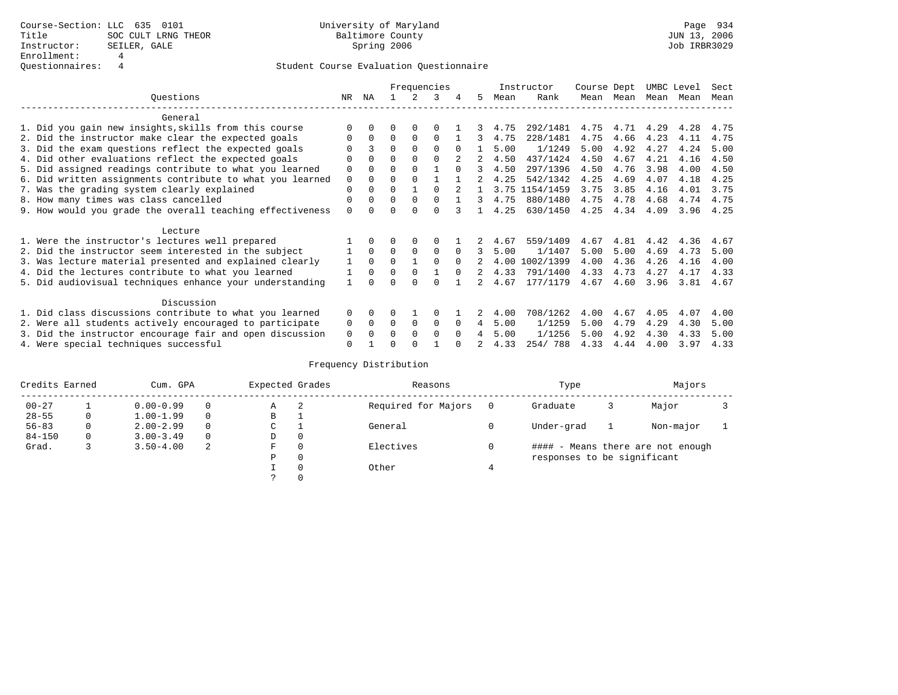|                                                           |             | Frequencies  |          |          |          |          |    |      | Instructor | Course Dept |      | UMBC Level |      | Sect |
|-----------------------------------------------------------|-------------|--------------|----------|----------|----------|----------|----|------|------------|-------------|------|------------|------|------|
| Ouestions                                                 | NR.         | ΝA           |          |          | 3        |          | 5. | Mean | Rank       | Mean        | Mean | Mean       | Mean | Mean |
| General                                                   |             |              |          |          |          |          |    |      |            |             |      |            |      |      |
| 1. Did you gain new insights, skills from this course     |             | $\Omega$     | O        | $\Omega$ |          |          |    | 4.75 | 292/1481   | 4.75        | 4.71 | 4.29       | 4.28 | 4.75 |
| 2. Did the instructor make clear the expected goals       | O           | $\Omega$     | $\Omega$ | $\Omega$ | $\Omega$ |          | 3  | 4.75 | 228/1481   | 4.75        | 4.66 | 4.23       | 4.11 | 4.75 |
| 3. Did the exam questions reflect the expected goals      |             |              | $\Omega$ | $\Omega$ | $\Omega$ | $\Omega$ |    | 5.00 | 1/1249     | 5.00        | 4.92 | 4.27       | 4.24 | 5.00 |
| 4. Did other evaluations reflect the expected goals       | O           | $\Omega$     | $\Omega$ | $\Omega$ | $\Omega$ |          |    | 4.50 | 437/1424   | 4.50        | 4.67 | 4.21       | 4.16 | 4.50 |
| 5. Did assigned readings contribute to what you learned   | $\mathbf 0$ |              | $\Omega$ |          |          | $\cap$   |    | 4.50 | 297/1396   | 4.50        | 4.76 | 3.98       | 4.00 | 4.50 |
| 6. Did written assignments contribute to what you learned | $\mathbf 0$ | $\Omega$     | $\Omega$ |          |          |          | 2  | 4.25 | 542/1342   | 4.25        | 4.69 | 4.07       | 4.18 | 4.25 |
| 7. Was the grading system clearly explained               | $\Omega$    | $\Omega$     | $\Omega$ |          |          |          |    | 3.75 | 1154/1459  | 3.75        | 3.85 | 4.16       | 4.01 | 3.75 |
| 8. How many times was class cancelled                     | 0           | $\Omega$     | $\Omega$ | $\Omega$ | $\Omega$ |          | 3  | 4.75 | 880/1480   | 4.75        | 4.78 | 4.68       | 4.74 | 4.75 |
| 9. How would you grade the overall teaching effectiveness | $\Omega$    | <sup>n</sup> | U        | $\cap$   | $\cap$   |          |    | 4.25 | 630/1450   | 4.25        | 4.34 | 4.09       | 3.96 | 4.25 |
| Lecture                                                   |             |              |          |          |          |          |    |      |            |             |      |            |      |      |
| 1. Were the instructor's lectures well prepared           |             |              |          | $\Omega$ | $\Omega$ |          |    | 4.67 | 559/1409   | 4.67        | 4.81 | 4.42       | 4.36 | 4.67 |
| 2. Did the instructor seem interested in the subject      |             | $\Omega$     | $\Omega$ | $\Omega$ | $\Omega$ | $\Omega$ | 3  | 5.00 | 1/1407     | 5.00        | 5.00 | 4.69       | 4.73 | 5.00 |
| 3. Was lecture material presented and explained clearly   |             | $\Omega$     | $\Omega$ |          | $\Omega$ | $\Omega$ |    | 4.00 | 1002/1399  | 4.00        | 4.36 | 4.26       | 4.16 | 4.00 |
| 4. Did the lectures contribute to what you learned        |             | $\Omega$     | $\Omega$ | $\Omega$ |          | $\cap$   |    | 4.33 | 791/1400   | 4.33        | 4.73 | 4.27       | 4.17 | 4.33 |
| 5. Did audiovisual techniques enhance your understanding  |             |              |          |          |          |          |    | 4.67 | 177/1179   | 4.67        | 4.60 | 3.96       | 3.81 | 4.67 |
| Discussion                                                |             |              |          |          |          |          |    |      |            |             |      |            |      |      |
| 1. Did class discussions contribute to what you learned   | $\Omega$    | $\Omega$     | U        |          | $\Omega$ |          |    | 4.00 | 708/1262   | 4.00        | 4.67 | 4.05       | 4.07 | 4.00 |
| 2. Were all students actively encouraged to participate   |             |              | $\Omega$ | $\Omega$ | $\Omega$ | $\Omega$ | 4  | 5.00 | 1/1259     | 5.00        | 4.79 | 4.29       | 4.30 | 5.00 |
| 3. Did the instructor encourage fair and open discussion  | 0<br>0      | $\Omega$     | O        | $\Omega$ | $\Omega$ | $\Omega$ |    | 5.00 | 1/1256     | 5.00        | 4.92 | 4.30       | 4.33 | 5.00 |
| 4. Were special techniques successful                     | $\Omega$    |              |          |          |          |          |    | 4.33 | 254/788    | 4.33        | 4.44 | 4.00       | 3.97 | 4.33 |

| Credits Earned |   | Cum. GPA      |          |             | Expected Grades | Reasons             |   | Type                        |   |                                   |  |
|----------------|---|---------------|----------|-------------|-----------------|---------------------|---|-----------------------------|---|-----------------------------------|--|
| $00 - 27$      |   | $0.00 - 0.99$ |          | А           | -2              | Required for Majors | 0 | Graduate                    | 3 | Major                             |  |
| $28 - 55$      | 0 | $1.00 - 1.99$ |          | В           |                 |                     |   |                             |   |                                   |  |
| $56 - 83$      | 0 | $2.00 - 2.99$ |          | $\sim$<br>J |                 | General             |   | Under-grad                  |   | Non-major                         |  |
| $84 - 150$     | 0 | $3.00 - 3.49$ | $\Omega$ | D           | 0               |                     |   |                             |   |                                   |  |
| Grad.          |   | $3.50 - 4.00$ | 2        | F           | 0               | Electives           | 0 |                             |   | #### - Means there are not enough |  |
|                |   |               |          | Ρ           | 0               |                     |   | responses to be significant |   |                                   |  |
|                |   |               |          |             | $\Omega$        | Other               |   |                             |   |                                   |  |
|                |   |               |          |             |                 |                     |   |                             |   |                                   |  |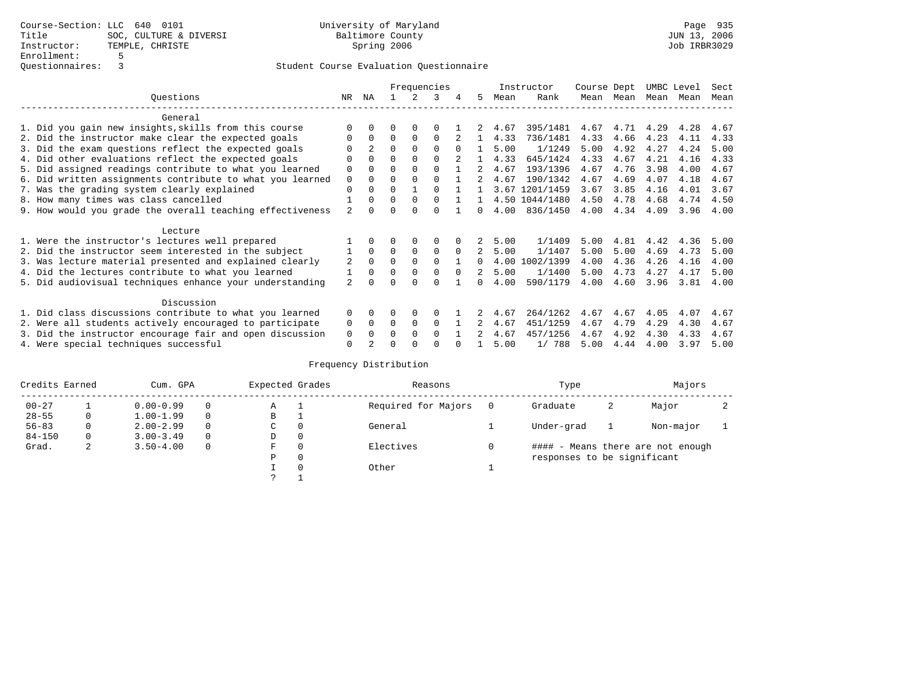|                                                           |                | Frequencies    |          |             |             |          |                |      | Instructor     | Course Dept |      | UMBC Level |      | Sect |
|-----------------------------------------------------------|----------------|----------------|----------|-------------|-------------|----------|----------------|------|----------------|-------------|------|------------|------|------|
| Ouestions                                                 | NR.            | ΝA             |          |             | 3           |          | 5.             | Mean | Rank           | Mean        | Mean | Mean       | Mean | Mean |
| General                                                   |                |                |          |             |             |          |                |      |                |             |      |            |      |      |
| 1. Did you gain new insights, skills from this course     |                | $\Omega$       | O        | $\Omega$    | $\Omega$    |          |                | 4.67 | 395/1481       | 4.67        | 4.71 | 4.29       | 4.28 | 4.67 |
| 2. Did the instructor make clear the expected goals       | 0              | $\Omega$       | $\Omega$ | $\Omega$    | $\Omega$    |          |                | 4.33 | 736/1481       | 4.33        | 4.66 | 4.23       | 4.11 | 4.33 |
| 3. Did the exam questions reflect the expected goals      |                | $\mathfrak{D}$ | $\Omega$ | $\Omega$    | $\Omega$    | $\Omega$ |                | 5.00 | 1/1249         | 5.00        | 4.92 | 4.27       | 4.24 | 5.00 |
| 4. Did other evaluations reflect the expected goals       | O              | $\Omega$       | $\Omega$ | $\Omega$    | $\Omega$    |          |                | 4.33 | 645/1424       | 4.33        | 4.67 | 4.21       | 4.16 | 4.33 |
| 5. Did assigned readings contribute to what you learned   | $\mathbf 0$    |                | $\Omega$ |             | $\Omega$    |          |                | 4.67 | 193/1396       | 4.67        | 4.76 | 3.98       | 4.00 | 4.67 |
| 6. Did written assignments contribute to what you learned | $\mathbf 0$    | $\Omega$       | $\Omega$ |             |             |          | 2              | 4.67 | 190/1342       | 4.67        | 4.69 | 4.07       | 4.18 | 4.67 |
| 7. Was the grading system clearly explained               | $\Omega$       | $\Omega$       | $\Omega$ |             |             |          |                |      | 3.67 1201/1459 | 3.67        | 3.85 | 4.16       | 4.01 | 3.67 |
| 8. How many times was class cancelled                     |                | $\Omega$       | $\Omega$ | $\Omega$    | $\cap$      |          |                |      | 4.50 1044/1480 | 4.50        | 4.78 | 4.68       | 4.74 | 4.50 |
| 9. How would you grade the overall teaching effectiveness | $\mathfrak{D}$ | <sup>n</sup>   | U        | $\cap$      | U           |          | <sup>n</sup>   | 4.00 | 836/1450       | 4.00        | 4.34 | 4.09       | 3.96 | 4.00 |
| Lecture                                                   |                |                |          |             |             |          |                |      |                |             |      |            |      |      |
| 1. Were the instructor's lectures well prepared           |                |                |          |             | 0           |          |                | 5.00 | 1/1409         | 5.00        | 4.81 | 4.42       | 4.36 | 5.00 |
| 2. Did the instructor seem interested in the subject      |                | $\Omega$       | $\Omega$ | $\mathbf 0$ | $\mathbf 0$ | $\Omega$ | $2^{\circ}$    | 5.00 | 1/1407         | 5.00        | 5.00 | 4.69       | 4.73 | 5.00 |
| 3. Was lecture material presented and explained clearly   | 2              | $\Omega$       | $\Omega$ | $\Omega$    | $\Omega$    |          | 0              | 4.00 | 1002/1399      | 4.00        | 4.36 | 4.26       | 4.16 | 4.00 |
| 4. Did the lectures contribute to what you learned        |                | $\Omega$       | $\Omega$ | $\Omega$    | $\Omega$    | $\Omega$ | $\mathfrak{D}$ | 5.00 | 1/1400         | 5.00        | 4.73 | 4.27       | 4.17 | 5.00 |
| 5. Did audiovisual techniques enhance your understanding  | $\mathfrak{D}$ |                |          |             | U           |          | <sup>n</sup>   | 4.00 | 590/1179       | 4.00        | 4.60 | 3.96       | 3.81 | 4.00 |
| Discussion                                                |                |                |          |             |             |          |                |      |                |             |      |            |      |      |
| 1. Did class discussions contribute to what you learned   | $\Omega$       | $\Omega$       | O        | $\Omega$    | $\Omega$    |          |                | 4.67 | 264/1262       | 4.67        | 4.67 | 4.05       | 4.07 | 4.67 |
| 2. Were all students actively encouraged to participate   |                |                | $\Omega$ | $\Omega$    | $\Omega$    |          |                | 4.67 | 451/1259       | 4.67        | 4.79 | 4.29       | 4.30 | 4.67 |
| 3. Did the instructor encourage fair and open discussion  | 0<br>0         | $\Omega$       | 0        | $\Omega$    | $\Omega$    |          |                | 4.67 | 457/1256       | 4.67        | 4.92 | 4.30       | 4.33 | 4.67 |
| 4. Were special techniques successful                     | $\Omega$       |                |          |             |             |          |                | 5.00 | 1/788          | 5.00        | 4.44 | 4.00       | 3.97 | 5.00 |

| Credits Earned |   | Cum. GPA      |          |             | Expected Grades | Reasons             |   | Type                        |   |                                   |  |
|----------------|---|---------------|----------|-------------|-----------------|---------------------|---|-----------------------------|---|-----------------------------------|--|
| $00 - 27$      |   | $0.00 - 0.99$ |          | А           |                 | Required for Majors | 0 | Graduate                    | 2 | Major                             |  |
| $28 - 55$      | 0 | $1.00 - 1.99$ |          | В           | ÷               |                     |   |                             |   |                                   |  |
| $56 - 83$      | 0 | $2.00 - 2.99$ |          | $\sim$<br>◡ |                 | General             |   | Under-grad                  |   | Non-major                         |  |
| $84 - 150$     | 0 | $3.00 - 3.49$ | $\Omega$ | D           | 0               |                     |   |                             |   |                                   |  |
| Grad.          | 2 | $3.50 - 4.00$ |          | F           | 0               | Electives           | 0 |                             |   | #### - Means there are not enough |  |
|                |   |               |          | Ρ           | 0               |                     |   | responses to be significant |   |                                   |  |
|                |   |               |          |             | $\Omega$        | Other               |   |                             |   |                                   |  |
|                |   |               |          | C           |                 |                     |   |                             |   |                                   |  |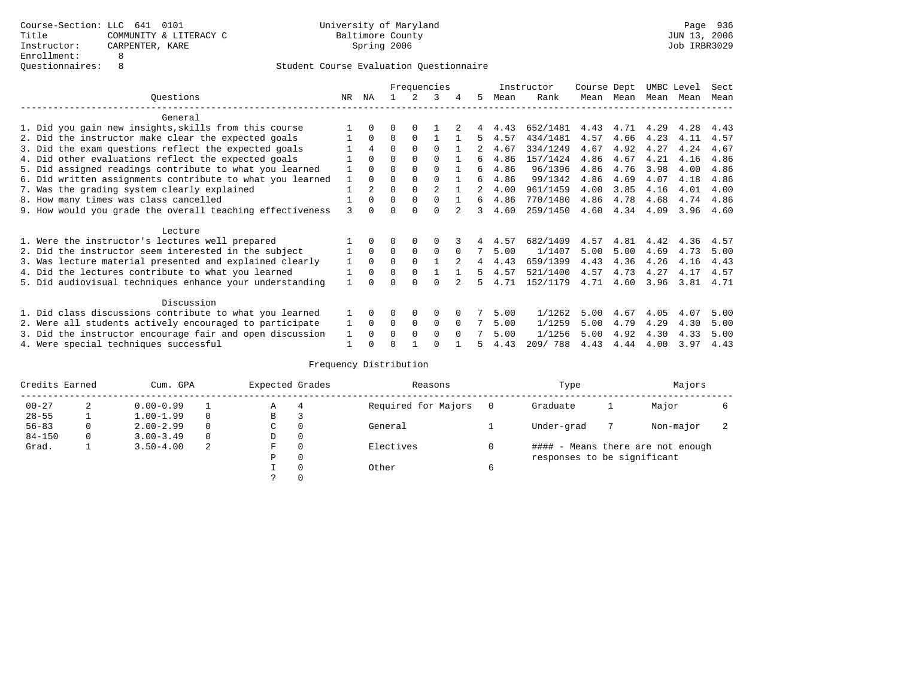|                                                         |                                                           |     |          |          | Frequencies |              |          |    |      | Instructor | Course Dept |      | UMBC Level |      | Sect |
|---------------------------------------------------------|-----------------------------------------------------------|-----|----------|----------|-------------|--------------|----------|----|------|------------|-------------|------|------------|------|------|
|                                                         | Ouestions                                                 | NR. | ΝA       |          |             | 3            | 4        | 5  | Mean | Rank       | Mean        | Mean | Mean       | Mean | Mean |
|                                                         | General                                                   |     |          |          |             |              |          |    |      |            |             |      |            |      |      |
|                                                         | 1. Did you gain new insights, skills from this course     |     | 0        | 0        | 0           |              |          |    | 4.43 | 652/1481   | 4.43        | 4.71 | 4.29       | 4.28 | 4.43 |
|                                                         | 2. Did the instructor make clear the expected goals       |     | $\Omega$ | 0        | $\Omega$    |              |          | 5  | 4.57 | 434/1481   | 4.57        | 4.66 | 4.23       | 4.11 | 4.57 |
|                                                         | 3. Did the exam questions reflect the expected goals      |     | 4        | $\Omega$ | $\Omega$    | $\Omega$     |          |    | 4.67 | 334/1249   | 4.67        | 4.92 | 4.27       | 4.24 | 4.67 |
|                                                         | 4. Did other evaluations reflect the expected goals       |     | $\Omega$ | 0        | $\Omega$    | $\Omega$     |          | 6  | 4.86 | 157/1424   | 4.86        | 4.67 | 4.21       | 4.16 | 4.86 |
|                                                         | 5. Did assigned readings contribute to what you learned   |     | 0        | U        | $\Omega$    | $\Omega$     |          | 6  | 4.86 | 96/1396    | 4.86        | 4.76 | 3.98       | 4.00 | 4.86 |
|                                                         | 6. Did written assignments contribute to what you learned |     | $\Omega$ | 0        | $\Omega$    | $\Omega$     |          | б. | 4.86 | 99/1342    | 4.86        | 4.69 | 4.07       | 4.18 | 4.86 |
|                                                         | 7. Was the grading system clearly explained               |     |          | O        | $\Omega$    | 2            |          |    | 4.00 | 961/1459   | 4.00        | 3.85 | 4.16       | 4.01 | 4.00 |
|                                                         | 8. How many times was class cancelled                     |     | 0        | 0        | $\Omega$    | 0            |          | 6. | 4.86 | 770/1480   | 4.86        | 4.78 | 4.68       | 4.74 | 4.86 |
|                                                         | 9. How would you grade the overall teaching effectiveness | 3   |          |          |             | U            |          | 3  | 4.60 | 259/1450   | 4.60        | 4.34 | 4.09       | 3.96 | 4.60 |
|                                                         | Lecture                                                   |     |          |          |             |              |          |    |      |            |             |      |            |      |      |
|                                                         | 1. Were the instructor's lectures well prepared           |     |          |          |             |              |          |    | 4.57 | 682/1409   | 4.57        | 4.81 | 4.42       | 4.36 | 4.57 |
|                                                         | 2. Did the instructor seem interested in the subject      |     | $\Omega$ | $\Omega$ | 0           | $\Omega$     | $\Omega$ |    | 5.00 | 1/1407     | 5.00        | 5.00 | 4.69       | 4.73 | 5.00 |
|                                                         | 3. Was lecture material presented and explained clearly   |     | $\Omega$ | $\Omega$ | $\Omega$    |              |          | 4  | 4.43 | 659/1399   | 4.43        | 4.36 | 4.26       | 4.16 | 4.43 |
|                                                         | 4. Did the lectures contribute to what you learned        |     | $\Omega$ | 0        | $\Omega$    |              |          | 5  | 4.57 | 521/1400   | 4.57        | 4.73 | 4.27       | 4.17 | 4.57 |
|                                                         | 5. Did audiovisual techniques enhance your understanding  |     |          |          | U           | <sup>n</sup> |          |    | 4.71 | 152/1179   | 4.71        | 4.60 | 3.96       | 3.81 | 4.71 |
|                                                         | Discussion                                                |     |          |          |             |              |          |    |      |            |             |      |            |      |      |
|                                                         | 1. Did class discussions contribute to what you learned   |     |          |          | $\Omega$    | $\Omega$     |          |    | 5.00 | 1/1262     | 5.00        | 4.67 | 4.05       | 4.07 | 5.00 |
| 2. Were all students actively encouraged to participate |                                                           |     |          | 0        | 0           | 0            | $\Omega$ |    | 5.00 | 1/1259     | 5.00        | 4.79 | 4.29       | 4.30 | 5.00 |
|                                                         | 3. Did the instructor encourage fair and open discussion  |     | $\Omega$ | U        | $\Omega$    | $\Omega$     | $\Omega$ |    | 5.00 | 1/1256     | 5.00        | 4.92 | 4.30       | 4.33 | 5.00 |
|                                                         | 4. Were special techniques successful                     |     |          |          |             |              |          |    | 4.43 | 209/788    | 4.43        | 4.44 | 4.00       | 3.97 | 4.43 |

| Credits Earned |   | Cum. GPA      |   |             | Expected Grades | Reasons             |   | Type                        | Majors                            |    |
|----------------|---|---------------|---|-------------|-----------------|---------------------|---|-----------------------------|-----------------------------------|----|
| $00 - 27$      | 2 | $0.00 - 0.99$ |   | Α           | 4               | Required for Majors |   | Graduate                    | Major                             |    |
| $28 - 55$      |   | $1.00 - 1.99$ |   | В           |                 |                     |   |                             |                                   |    |
| $56 - 83$      | 0 | $2.00 - 2.99$ | 0 | $\sim$<br>◡ | $\Omega$        | General             |   | Under-grad                  | Non-major                         | z. |
| $84 - 150$     | 0 | $3.00 - 3.49$ |   | D           | 0               |                     |   |                             |                                   |    |
| Grad.          |   | $3.50 - 4.00$ | 2 | F           | 0               | Electives           |   |                             | #### - Means there are not enough |    |
|                |   |               |   | Ρ           | 0               |                     |   | responses to be significant |                                   |    |
|                |   |               |   |             | 0               | Other               | 6 |                             |                                   |    |
|                |   |               |   | C.          |                 |                     |   |                             |                                   |    |